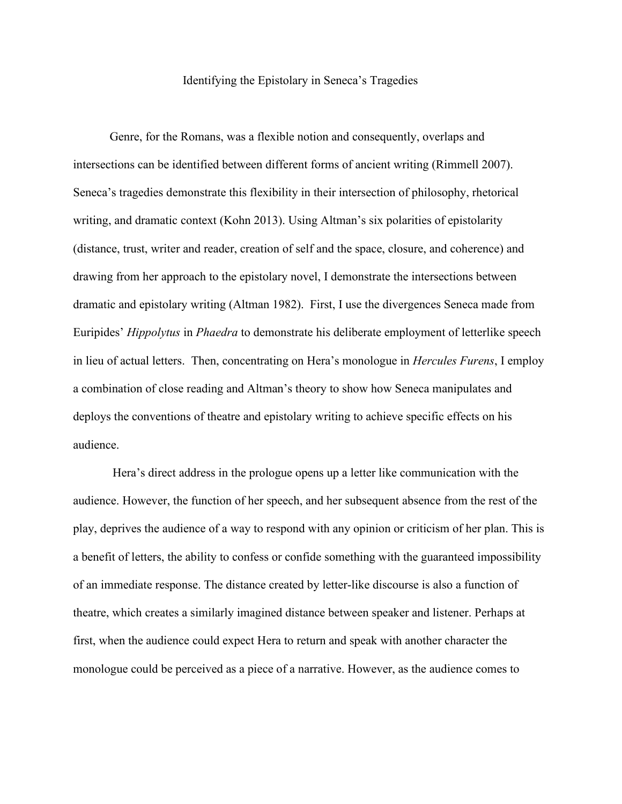## Identifying the Epistolary in Seneca's Tragedies

Genre, for the Romans, was a flexible notion and consequently, overlaps and intersections can be identified between different forms of ancient writing (Rimmell 2007). Seneca's tragedies demonstrate this flexibility in their intersection of philosophy, rhetorical writing, and dramatic context (Kohn 2013). Using Altman's six polarities of epistolarity (distance, trust, writer and reader, creation of self and the space, closure, and coherence) and drawing from her approach to the epistolary novel, I demonstrate the intersections between dramatic and epistolary writing (Altman 1982). First, I use the divergences Seneca made from Euripides' *Hippolytus* in *Phaedra* to demonstrate his deliberate employment of letterlike speech in lieu of actual letters. Then, concentrating on Hera's monologue in *Hercules Furens*, I employ a combination of close reading and Altman's theory to show how Seneca manipulates and deploys the conventions of theatre and epistolary writing to achieve specific effects on his audience.

Hera's direct address in the prologue opens up a letter like communication with the audience. However, the function of her speech, and her subsequent absence from the rest of the play, deprives the audience of a way to respond with any opinion or criticism of her plan. This is a benefit of letters, the ability to confess or confide something with the guaranteed impossibility of an immediate response. The distance created by letter-like discourse is also a function of theatre, which creates a similarly imagined distance between speaker and listener. Perhaps at first, when the audience could expect Hera to return and speak with another character the monologue could be perceived as a piece of a narrative. However, as the audience comes to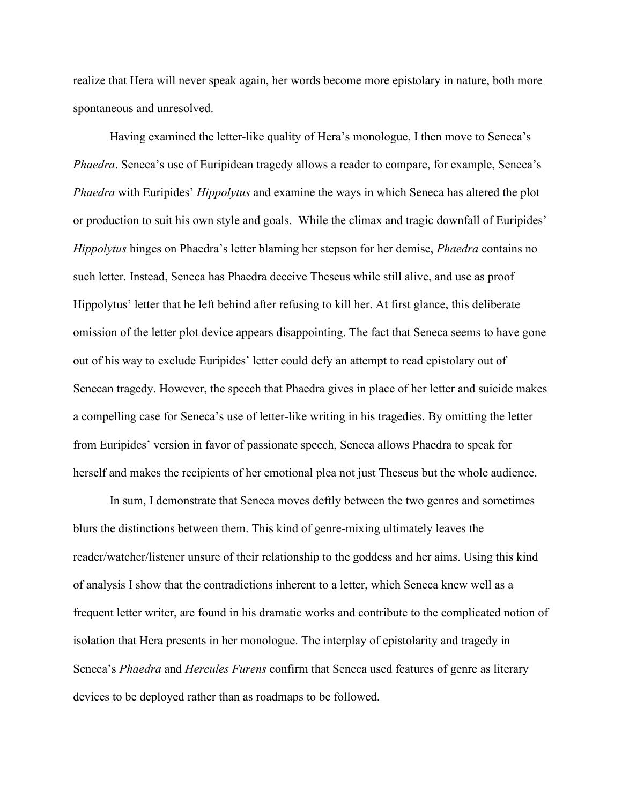realize that Hera will never speak again, her words become more epistolary in nature, both more spontaneous and unresolved.

Having examined the letter-like quality of Hera's monologue, I then move to Seneca's *Phaedra*. Seneca's use of Euripidean tragedy allows a reader to compare, for example, Seneca's *Phaedra* with Euripides' *Hippolytus* and examine the ways in which Seneca has altered the plot or production to suit his own style and goals. While the climax and tragic downfall of Euripides' *Hippolytus* hinges on Phaedra's letter blaming her stepson for her demise, *Phaedra* contains no such letter. Instead, Seneca has Phaedra deceive Theseus while still alive, and use as proof Hippolytus' letter that he left behind after refusing to kill her. At first glance, this deliberate omission of the letter plot device appears disappointing. The fact that Seneca seems to have gone out of his way to exclude Euripides' letter could defy an attempt to read epistolary out of Senecan tragedy. However, the speech that Phaedra gives in place of her letter and suicide makes a compelling case for Seneca's use of letter-like writing in his tragedies. By omitting the letter from Euripides' version in favor of passionate speech, Seneca allows Phaedra to speak for herself and makes the recipients of her emotional plea not just Theseus but the whole audience.

In sum, I demonstrate that Seneca moves deftly between the two genres and sometimes blurs the distinctions between them. This kind of genre-mixing ultimately leaves the reader/watcher/listener unsure of their relationship to the goddess and her aims. Using this kind of analysis I show that the contradictions inherent to a letter, which Seneca knew well as a frequent letter writer, are found in his dramatic works and contribute to the complicated notion of isolation that Hera presents in her monologue. The interplay of epistolarity and tragedy in Seneca's *Phaedra* and *Hercules Furens* confirm that Seneca used features of genre as literary devices to be deployed rather than as roadmaps to be followed.